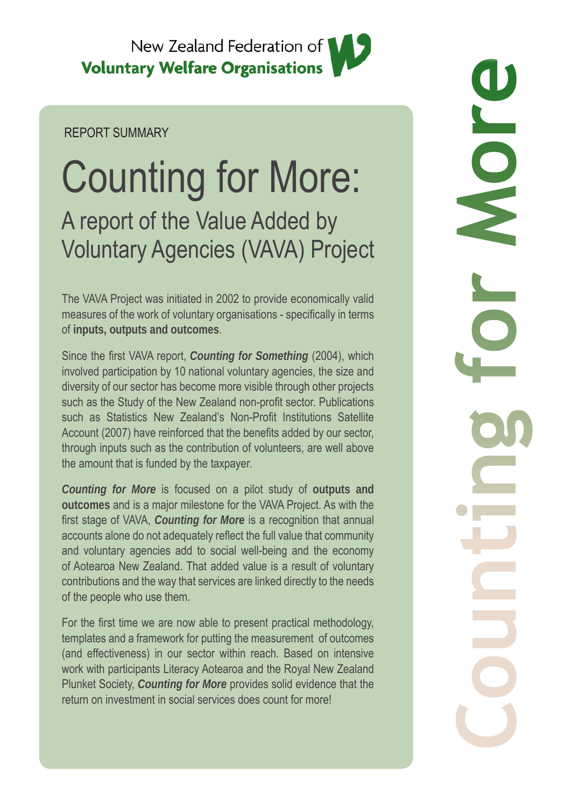

### REPORT SUMMARY

# Counting for More: A report of the Value Added by Voluntary Agencies (VAVA) Project

The VAVA Project was initiated in 2002 to provide economically valid measures of the work of voluntary organisations - specifically in terms of **inputs, outputs and outcomes**.

Since the first VAVA report, *Counting for Something* (2004), which involved participation by 10 national voluntary agencies, the size and diversity of our sector has become more visible through other projects such as the Study of the New Zealand non-profit sector. Publications such as Statistics New Zealand's Non-Profit Institutions Satellite Account (2007) have reinforced that the benefits added by our sector, through inputs such as the contribution of volunteers, are well above the amount that is funded by the taxpayer.

*Counting for More* is focused on a pilot study of **outputs and outcomes** and is a major milestone for the VAVA Project. As with the first stage of VAVA, *Counting for More* is a recognition that annual accounts alone do not adequately reflect the full value that community and voluntary agencies add to social well-being and the economy of Aotearoa New Zealand. That added value is a result of voluntary contributions and the way that services are linked directly to the needs of the people who use them.

For the first time we are now able to present practical methodology, templates and a framework for putting the measurement of outcomes (and effectiveness) in our sector within reach. Based on intensive work with participants Literacy Aotearoa and the Royal New Zealand Plunket Society, *Counting for More* provides solid evidence that the return on investment in social services does count for more!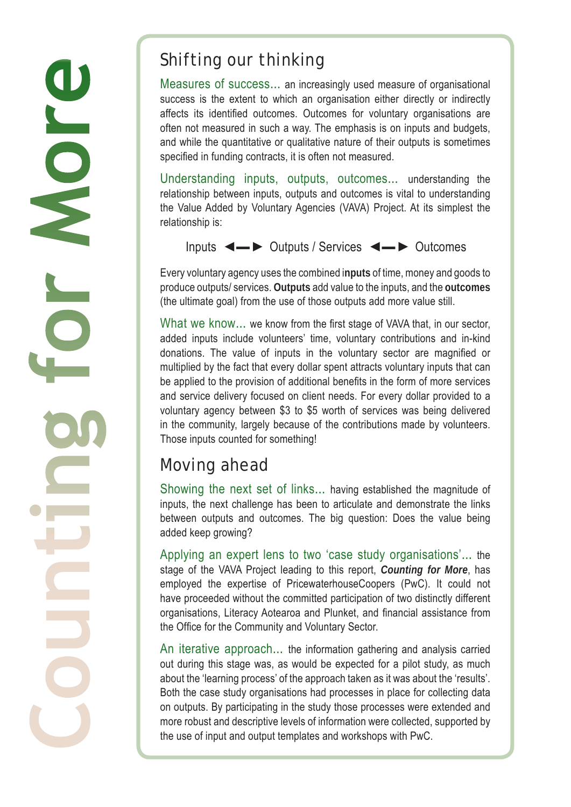## Shifting our thinking

Measures of success... an increasingly used measure of organisational success is the extent to which an organisation either directly or indirectly affects its identified outcomes. Outcomes for voluntary organisations are often not measured in such a way. The emphasis is on inputs and budgets, and while the quantitative or qualitative nature of their outputs is sometimes specified in funding contracts, it is often not measured.

Understanding inputs, outputs, outcomes... understanding the relationship between inputs, outputs and outcomes is vital to understanding the Value Added by Voluntary Agencies (VAVA) Project. At its simplest the relationship is:

Inputs ◄▬ ► Outputs / Services ◄▬ ► Outcomes

Every voluntary agency uses the combined i**nputs** of time, money and goods to produce outputs/ services. **Outputs** add value to the inputs, and the **outcomes** (the ultimate goal) from the use of those outputs add more value still.

What we know... we know from the first stage of VAVA that, in our sector, added inputs include volunteers' time, voluntary contributions and in-kind donations. The value of inputs in the voluntary sector are magnified or multiplied by the fact that every dollar spent attracts voluntary inputs that can be applied to the provision of additional benefits in the form of more services and service delivery focused on client needs. For every dollar provided to a voluntary agency between \$3 to \$5 worth of services was being delivered in the community, largely because of the contributions made by volunteers. Those inputs counted for something!

# Moving ahead

Showing the next set of links... having established the magnitude of inputs, the next challenge has been to articulate and demonstrate the links between outputs and outcomes. The big question: Does the value being added keep growing?

Applying an expert lens to two 'case study organisations'... the stage of the VAVA Project leading to this report, *Counting for More*, has employed the expertise of PricewaterhouseCoopers (PwC). It could not have proceeded without the committed participation of two distinctly different organisations, Literacy Aotearoa and Plunket, and financial assistance from the Office for the Community and Voluntary Sector.

An iterative approach... the information gathering and analysis carried out during this stage was, as would be expected for a pilot study, as much about the 'learning process' of the approach taken as it was about the 'results'. Both the case study organisations had processes in place for collecting data on outputs. By participating in the study those processes were extended and more robust and descriptive levels of information were collected, supported by the use of input and output templates and workshops with PwC.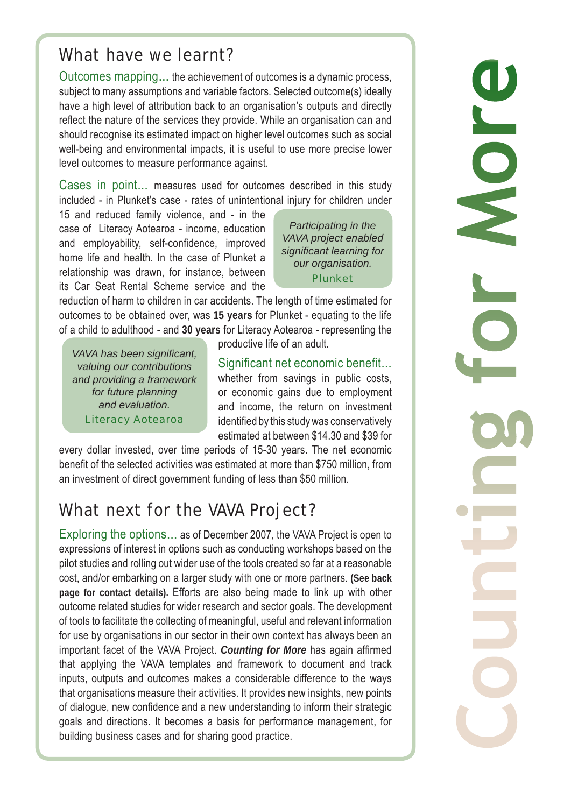### What have we learnt?

Outcomes mapping... the achievement of outcomes is a dynamic process, subject to many assumptions and variable factors. Selected outcome(s) ideally have a high level of attribution back to an organisation's outputs and directly reflect the nature of the services they provide. While an organisation can and should recognise its estimated impact on higher level outcomes such as social well-being and environmental impacts, it is useful to use more precise lower level outcomes to measure performance against.

Cases in point... measures used for outcomes described in this study included - in Plunket's case - rates of unintentional injury for children under

15 and reduced family violence, and - in the case of Literacy Aotearoa - income, education and employability, self-confidence, improved home life and health. In the case of Plunket a relationship was drawn, for instance, between its Car Seat Rental Scheme service and the

*Participating in the VAVA project enabled signifi cant learning for our organisation.* Plunket

reduction of harm to children in car accidents. The length of time estimated for outcomes to be obtained over, was **15 years** for Plunket - equating to the life of a child to adulthood - and **30 years** for Literacy Aotearoa - representing the

*VAVA has been significant, valuing our contributions and providing a framework for future planning and evaluation.*  Literacy Aotearoa

productive life of an adult.

Significant net economic benefit... whether from savings in public costs, or economic gains due to employment and income, the return on investment identified by this study was conservatively estimated at between \$14.30 and \$39 for

every dollar invested, over time periods of 15-30 years. The net economic benefit of the selected activities was estimated at more than \$750 million, from an investment of direct government funding of less than \$50 million.

# What next for the VAVA Project?

Exploring the options... as of December 2007, the VAVA Project is open to expressions of interest in options such as conducting workshops based on the pilot studies and rolling out wider use of the tools created so far at a reasonable cost, and/or embarking on a larger study with one or more partners. **(See back page for contact details).** Efforts are also being made to link up with other outcome related studies for wider research and sector goals. The development of tools to facilitate the collecting of meaningful, useful and relevant information for use by organisations in our sector in their own context has always been an important facet of the VAVA Project. *Counting for More* has again affirmed that applying the VAVA templates and framework to document and track inputs, outputs and outcomes makes a considerable difference to the ways that organisations measure their activities. It provides new insights, new points of dialogue, new confidence and a new understanding to inform their strategic goals and directions. It becomes a basis for performance management, for building business cases and for sharing good practice.